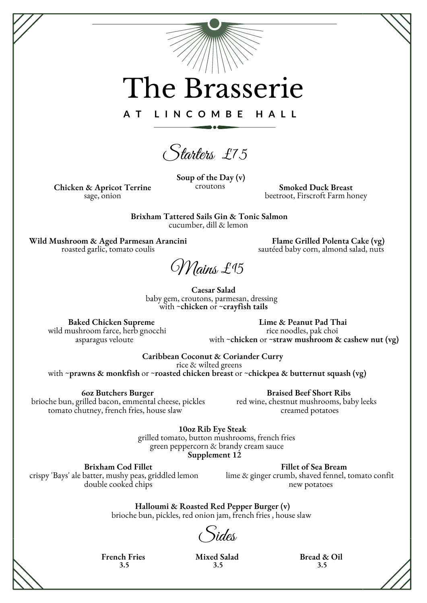## The Brasserie

**A T L I N C O M B E H A L L**

Starters £7.5

**Soup of the Day (v)** croutons

**Chicken & Apricot Terrine** sage, onion

**Smoked Duck Breast** beetroot, Firscroft Farm honey

**Brixham Tattered Sails Gin & Tonic Salmon** cucumber, dill & lemon

**Wild Mushroom & Aged Parmesan Arancini** roasted garlic, tomato coulis

**Flame Grilled Polenta Cake (vg)** sautéed baby corn, almond salad, nuts

Mains £15

**Caesar Salad** baby gem, croutons, parmesan, dressing with ~**chicken** or ~**crayfish tails**

**Baked Chicken Supreme** wild mushroom farce, herb gnocchi asparagus veloute

**Lime & Peanut Pad Thai** rice noodles, pak choi with ~**chicken** or ~**straw mushroom & cashew nut (vg)**

**Caribbean Coconut & Coriander Curry** rice & wilted greens

with ~**prawns & monkfish** or ~**roasted chicken breast** or ~**chickpea & butternut squash (vg)**

**6oz Butchers Burger**

brioche bun, grilled bacon, emmental cheese, pickles red wine, chestnut mushrooms, baby leeks tomato chutney, french fries, house slaw

**Braised Beef Short Ribs** creamed potatoes

**10oz Rib Eye Steak**

grilled tomato, button mushrooms, french fries green peppercorn & brandy cream sauce **Supplement 12**

**Brixham Cod Fillet** crispy 'Bays' ale batter, mushy peas, griddled lemon double cooked chips

**Fillet of Sea Bream** lime & ginger crumb, shaved fennel, tomato confit new potatoes

**Halloumi & Roasted Red Pepper Burger (v)** brioche bun, pickles, red onion jam, french fries , house slaw

Sides

**French Fries 3.5**

**Mixed Salad 3.5**

**Bread & Oil 3.5**